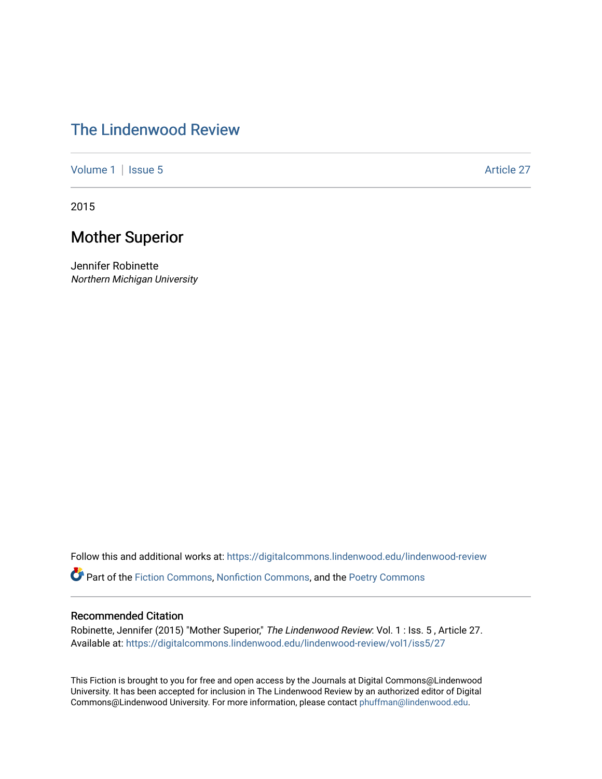## [The Lindenwood Review](https://digitalcommons.lindenwood.edu/lindenwood-review)

[Volume 1](https://digitalcommons.lindenwood.edu/lindenwood-review/vol1) | [Issue 5](https://digitalcommons.lindenwood.edu/lindenwood-review/vol1/iss5) Article 27

2015

## Mother Superior

Jennifer Robinette Northern Michigan University

Follow this and additional works at: [https://digitalcommons.lindenwood.edu/lindenwood-review](https://digitalcommons.lindenwood.edu/lindenwood-review?utm_source=digitalcommons.lindenwood.edu%2Flindenwood-review%2Fvol1%2Fiss5%2F27&utm_medium=PDF&utm_campaign=PDFCoverPages)

Part of the [Fiction Commons,](http://network.bepress.com/hgg/discipline/1151?utm_source=digitalcommons.lindenwood.edu%2Flindenwood-review%2Fvol1%2Fiss5%2F27&utm_medium=PDF&utm_campaign=PDFCoverPages) [Nonfiction Commons](http://network.bepress.com/hgg/discipline/1152?utm_source=digitalcommons.lindenwood.edu%2Flindenwood-review%2Fvol1%2Fiss5%2F27&utm_medium=PDF&utm_campaign=PDFCoverPages), and the [Poetry Commons](http://network.bepress.com/hgg/discipline/1153?utm_source=digitalcommons.lindenwood.edu%2Flindenwood-review%2Fvol1%2Fiss5%2F27&utm_medium=PDF&utm_campaign=PDFCoverPages)

## Recommended Citation

Robinette, Jennifer (2015) "Mother Superior," The Lindenwood Review: Vol. 1 : Iss. 5, Article 27. Available at: [https://digitalcommons.lindenwood.edu/lindenwood-review/vol1/iss5/27](https://digitalcommons.lindenwood.edu/lindenwood-review/vol1/iss5/27?utm_source=digitalcommons.lindenwood.edu%2Flindenwood-review%2Fvol1%2Fiss5%2F27&utm_medium=PDF&utm_campaign=PDFCoverPages)

This Fiction is brought to you for free and open access by the Journals at Digital Commons@Lindenwood University. It has been accepted for inclusion in The Lindenwood Review by an authorized editor of Digital Commons@Lindenwood University. For more information, please contact [phuffman@lindenwood.edu](mailto:phuffman@lindenwood.edu).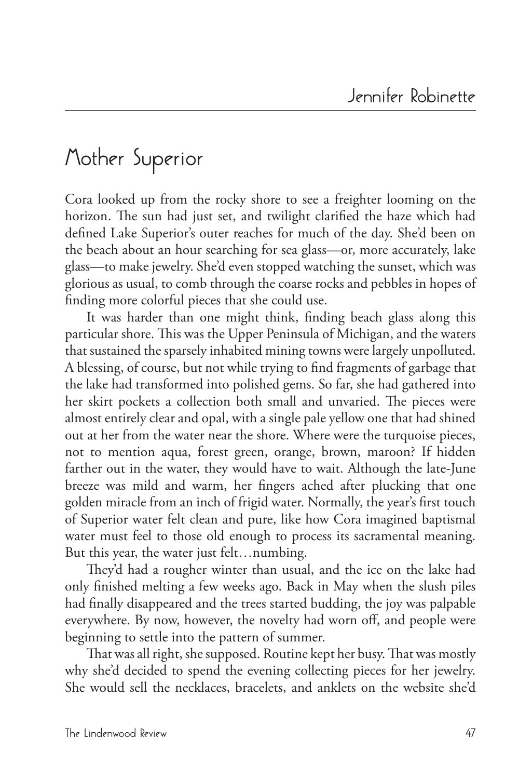## **Mother Superior**

Cora looked up from the rocky shore to see a freighter looming on the horizon. The sun had just set, and twilight clarified the haze which had defined Lake Superior's outer reaches for much of the day. She'd been on the beach about an hour searching for sea glass—or, more accurately, lake glass—to make jewelry. She'd even stopped watching the sunset, which was glorious as usual, to comb through the coarse rocks and pebbles in hopes of finding more colorful pieces that she could use.

It was harder than one might think, finding beach glass along this particular shore. This was the Upper Peninsula of Michigan, and the waters that sustained the sparsely inhabited mining towns were largely unpolluted. A blessing, of course, but not while trying to find fragments of garbage that the lake had transformed into polished gems. So far, she had gathered into her skirt pockets a collection both small and unvaried. The pieces were almost entirely clear and opal, with a single pale yellow one that had shined out at her from the water near the shore. Where were the turquoise pieces, not to mention aqua, forest green, orange, brown, maroon? If hidden farther out in the water, they would have to wait. Although the late-June breeze was mild and warm, her fingers ached after plucking that one golden miracle from an inch of frigid water. Normally, the year's first touch of Superior water felt clean and pure, like how Cora imagined baptismal water must feel to those old enough to process its sacramental meaning. But this year, the water just felt…numbing.

They'd had a rougher winter than usual, and the ice on the lake had only finished melting a few weeks ago. Back in May when the slush piles had finally disappeared and the trees started budding, the joy was palpable everywhere. By now, however, the novelty had worn off, and people were beginning to settle into the pattern of summer.

That was all right, she supposed. Routine kept her busy. That was mostly why she'd decided to spend the evening collecting pieces for her jewelry. She would sell the necklaces, bracelets, and anklets on the website she'd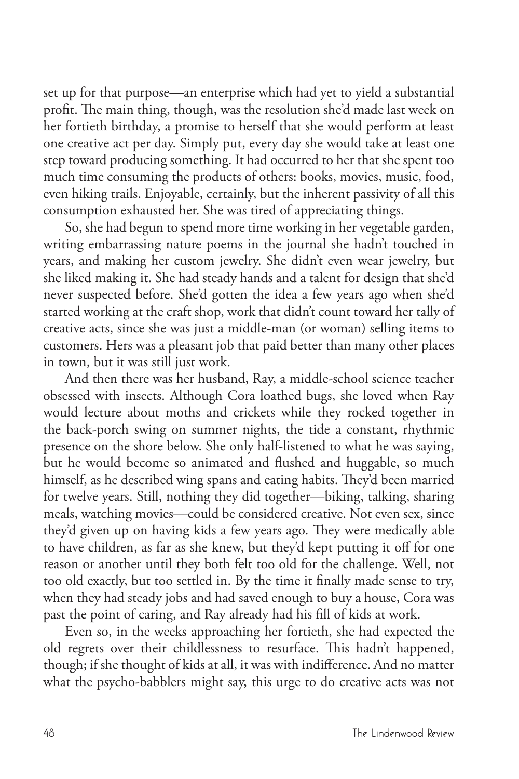set up for that purpose—an enterprise which had yet to yield a substantial profit. The main thing, though, was the resolution she'd made last week on her fortieth birthday, a promise to herself that she would perform at least one creative act per day. Simply put, every day she would take at least one step toward producing something. It had occurred to her that she spent too much time consuming the products of others: books, movies, music, food, even hiking trails. Enjoyable, certainly, but the inherent passivity of all this consumption exhausted her. She was tired of appreciating things.

So, she had begun to spend more time working in her vegetable garden, writing embarrassing nature poems in the journal she hadn't touched in years, and making her custom jewelry. She didn't even wear jewelry, but she liked making it. She had steady hands and a talent for design that she'd never suspected before. She'd gotten the idea a few years ago when she'd started working at the craft shop, work that didn't count toward her tally of creative acts, since she was just a middle-man (or woman) selling items to customers. Hers was a pleasant job that paid better than many other places in town, but it was still just work.

And then there was her husband, Ray, a middle-school science teacher obsessed with insects. Although Cora loathed bugs, she loved when Ray would lecture about moths and crickets while they rocked together in the back-porch swing on summer nights, the tide a constant, rhythmic presence on the shore below. She only half-listened to what he was saying, but he would become so animated and flushed and huggable, so much himself, as he described wing spans and eating habits. They'd been married for twelve years. Still, nothing they did together—biking, talking, sharing meals, watching movies—could be considered creative. Not even sex, since they'd given up on having kids a few years ago. They were medically able to have children, as far as she knew, but they'd kept putting it off for one reason or another until they both felt too old for the challenge. Well, not too old exactly, but too settled in. By the time it finally made sense to try, when they had steady jobs and had saved enough to buy a house, Cora was past the point of caring, and Ray already had his fill of kids at work.

Even so, in the weeks approaching her fortieth, she had expected the old regrets over their childlessness to resurface. This hadn't happened, though; if she thought of kids at all, it was with indifference. And no matter what the psycho-babblers might say, this urge to do creative acts was not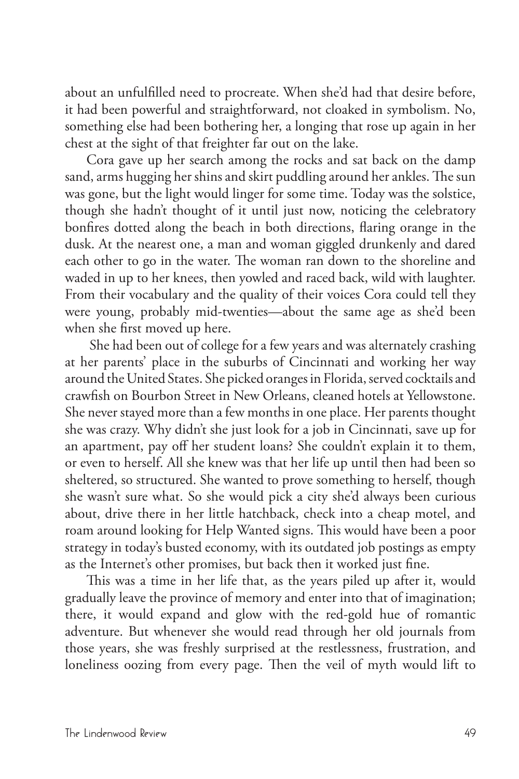about an unfulfilled need to procreate. When she'd had that desire before, it had been powerful and straightforward, not cloaked in symbolism. No, something else had been bothering her, a longing that rose up again in her chest at the sight of that freighter far out on the lake.

Cora gave up her search among the rocks and sat back on the damp sand, arms hugging her shins and skirt puddling around her ankles. The sun was gone, but the light would linger for some time. Today was the solstice, though she hadn't thought of it until just now, noticing the celebratory bonfires dotted along the beach in both directions, flaring orange in the dusk. At the nearest one, a man and woman giggled drunkenly and dared each other to go in the water. The woman ran down to the shoreline and waded in up to her knees, then yowled and raced back, wild with laughter. From their vocabulary and the quality of their voices Cora could tell they were young, probably mid-twenties—about the same age as she'd been when she first moved up here.

 She had been out of college for a few years and was alternately crashing at her parents' place in the suburbs of Cincinnati and working her way around the United States. She picked oranges in Florida, served cocktails and crawfish on Bourbon Street in New Orleans, cleaned hotels at Yellowstone. She never stayed more than a few months in one place. Her parents thought she was crazy. Why didn't she just look for a job in Cincinnati, save up for an apartment, pay off her student loans? She couldn't explain it to them, or even to herself. All she knew was that her life up until then had been so sheltered, so structured. She wanted to prove something to herself, though she wasn't sure what. So she would pick a city she'd always been curious about, drive there in her little hatchback, check into a cheap motel, and roam around looking for Help Wanted signs. This would have been a poor strategy in today's busted economy, with its outdated job postings as empty as the Internet's other promises, but back then it worked just fine.

This was a time in her life that, as the years piled up after it, would gradually leave the province of memory and enter into that of imagination; there, it would expand and glow with the red-gold hue of romantic adventure. But whenever she would read through her old journals from those years, she was freshly surprised at the restlessness, frustration, and loneliness oozing from every page. Then the veil of myth would lift to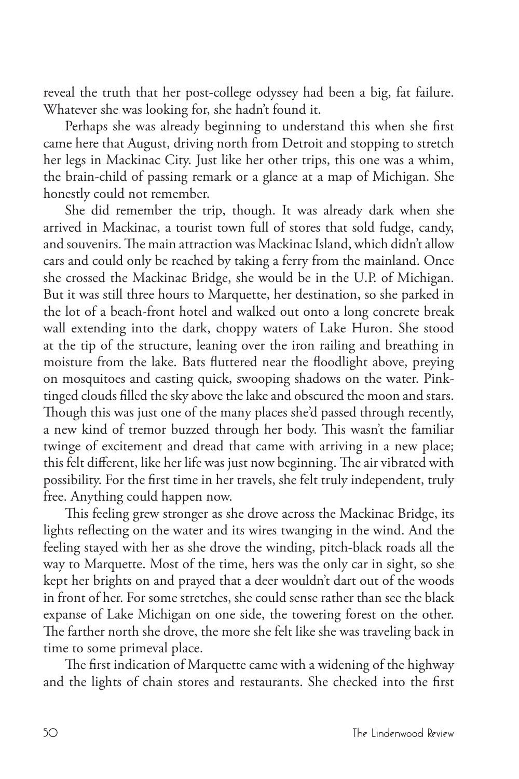reveal the truth that her post-college odyssey had been a big, fat failure. Whatever she was looking for, she hadn't found it.

Perhaps she was already beginning to understand this when she first came here that August, driving north from Detroit and stopping to stretch her legs in Mackinac City. Just like her other trips, this one was a whim, the brain-child of passing remark or a glance at a map of Michigan. She honestly could not remember.

She did remember the trip, though. It was already dark when she arrived in Mackinac, a tourist town full of stores that sold fudge, candy, and souvenirs. The main attraction was Mackinac Island, which didn't allow cars and could only be reached by taking a ferry from the mainland. Once she crossed the Mackinac Bridge, she would be in the U.P. of Michigan. But it was still three hours to Marquette, her destination, so she parked in the lot of a beach-front hotel and walked out onto a long concrete break wall extending into the dark, choppy waters of Lake Huron. She stood at the tip of the structure, leaning over the iron railing and breathing in moisture from the lake. Bats fluttered near the floodlight above, preying on mosquitoes and casting quick, swooping shadows on the water. Pinktinged clouds filled the sky above the lake and obscured the moon and stars. Though this was just one of the many places she'd passed through recently, a new kind of tremor buzzed through her body. This wasn't the familiar twinge of excitement and dread that came with arriving in a new place; this felt different, like her life was just now beginning. The air vibrated with possibility. For the first time in her travels, she felt truly independent, truly free. Anything could happen now.

This feeling grew stronger as she drove across the Mackinac Bridge, its lights reflecting on the water and its wires twanging in the wind. And the feeling stayed with her as she drove the winding, pitch-black roads all the way to Marquette. Most of the time, hers was the only car in sight, so she kept her brights on and prayed that a deer wouldn't dart out of the woods in front of her. For some stretches, she could sense rather than see the black expanse of Lake Michigan on one side, the towering forest on the other. The farther north she drove, the more she felt like she was traveling back in time to some primeval place.

The first indication of Marquette came with a widening of the highway and the lights of chain stores and restaurants. She checked into the first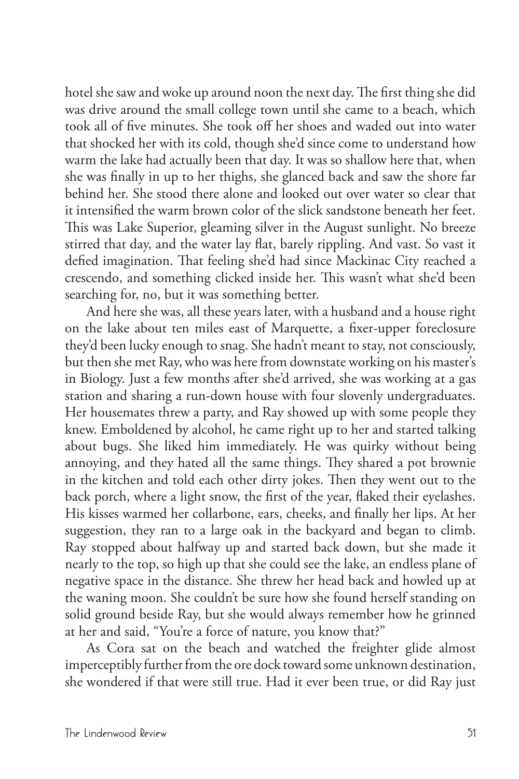hotel she saw and woke up around noon the next day. The first thing she did was drive around the small college town until she came to a beach, which took all of five minutes. She took off her shoes and waded out into water that shocked her with its cold, though she'd since come to understand how warm the lake had actually been that day. It was so shallow here that, when she was finally in up to her thighs, she glanced back and saw the shore far behind her. She stood there alone and looked out over water so clear that it intensified the warm brown color of the slick sandstone beneath her feet. This was Lake Superior, gleaming silver in the August sunlight. No breeze stirred that day, and the water lay flat, barely rippling. And vast. So vast it defied imagination. That feeling she'd had since Mackinac City reached a crescendo, and something clicked inside her. This wasn't what she'd been searching for, no, but it was something better.

And here she was, all these years later, with a husband and a house right on the lake about ten miles east of Marquette, a fixer-upper foreclosure they'd been lucky enough to snag. She hadn't meant to stay, not consciously, but then she met Ray, who was here from downstate working on his master's in Biology. Just a few months after she'd arrived, she was working at a gas station and sharing a run-down house with four slovenly undergraduates. Her housemates threw a party, and Ray showed up with some people they knew. Emboldened by alcohol, he came right up to her and started talking about bugs. She liked him immediately. He was quirky without being annoying, and they hated all the same things. They shared a pot brownie in the kitchen and told each other dirty jokes. Then they went out to the back porch, where a light snow, the first of the year, flaked their eyelashes. His kisses warmed her collarbone, ears, cheeks, and finally her lips. At her suggestion, they ran to a large oak in the backyard and began to climb. Ray stopped about halfway up and started back down, but she made it nearly to the top, so high up that she could see the lake, an endless plane of negative space in the distance. She threw her head back and howled up at the waning moon. She couldn't be sure how she found herself standing on solid ground beside Ray, but she would always remember how he grinned at her and said, "You're a force of nature, you know that?"

As Cora sat on the beach and watched the freighter glide almost imperceptibly further from the ore dock toward some unknown destination, she wondered if that were still true. Had it ever been true, or did Ray just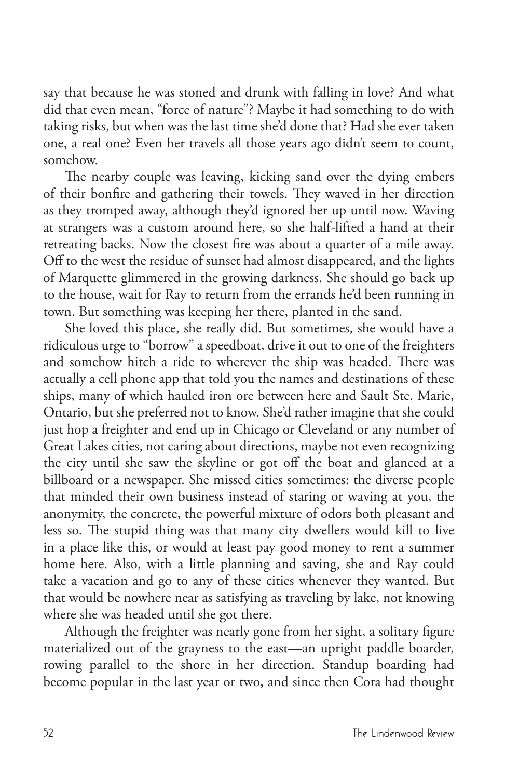say that because he was stoned and drunk with falling in love? And what did that even mean, "force of nature"? Maybe it had something to do with taking risks, but when was the last time she'd done that? Had she ever taken one, a real one? Even her travels all those years ago didn't seem to count, somehow.

The nearby couple was leaving, kicking sand over the dying embers of their bonfire and gathering their towels. They waved in her direction as they tromped away, although they'd ignored her up until now. Waving at strangers was a custom around here, so she half-lifted a hand at their retreating backs. Now the closest fire was about a quarter of a mile away. Off to the west the residue of sunset had almost disappeared, and the lights of Marquette glimmered in the growing darkness. She should go back up to the house, wait for Ray to return from the errands he'd been running in town. But something was keeping her there, planted in the sand.

She loved this place, she really did. But sometimes, she would have a ridiculous urge to "borrow" a speedboat, drive it out to one of the freighters and somehow hitch a ride to wherever the ship was headed. There was actually a cell phone app that told you the names and destinations of these ships, many of which hauled iron ore between here and Sault Ste. Marie, Ontario, but she preferred not to know. She'd rather imagine that she could just hop a freighter and end up in Chicago or Cleveland or any number of Great Lakes cities, not caring about directions, maybe not even recognizing the city until she saw the skyline or got off the boat and glanced at a billboard or a newspaper. She missed cities sometimes: the diverse people that minded their own business instead of staring or waving at you, the anonymity, the concrete, the powerful mixture of odors both pleasant and less so. The stupid thing was that many city dwellers would kill to live in a place like this, or would at least pay good money to rent a summer home here. Also, with a little planning and saving, she and Ray could take a vacation and go to any of these cities whenever they wanted. But that would be nowhere near as satisfying as traveling by lake, not knowing where she was headed until she got there.

Although the freighter was nearly gone from her sight, a solitary figure materialized out of the grayness to the east—an upright paddle boarder, rowing parallel to the shore in her direction. Standup boarding had become popular in the last year or two, and since then Cora had thought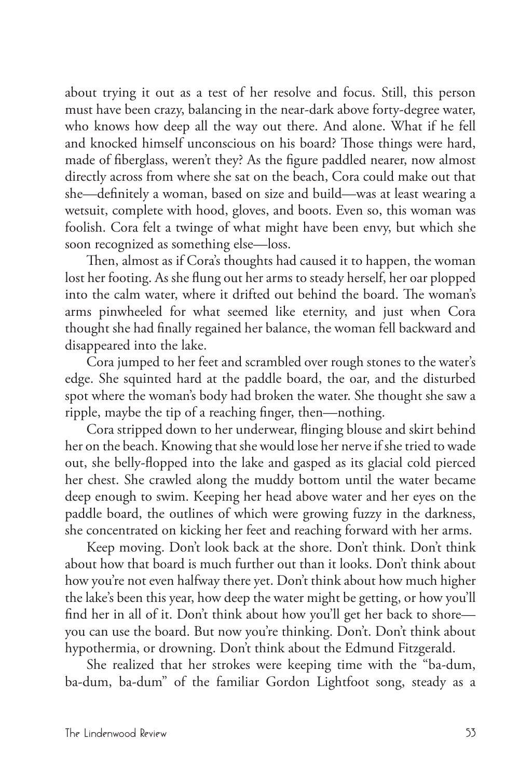about trying it out as a test of her resolve and focus. Still, this person must have been crazy, balancing in the near-dark above forty-degree water, who knows how deep all the way out there. And alone. What if he fell and knocked himself unconscious on his board? Those things were hard, made of fiberglass, weren't they? As the figure paddled nearer, now almost directly across from where she sat on the beach, Cora could make out that she—definitely a woman, based on size and build—was at least wearing a wetsuit, complete with hood, gloves, and boots. Even so, this woman was foolish. Cora felt a twinge of what might have been envy, but which she soon recognized as something else—loss.

Then, almost as if Cora's thoughts had caused it to happen, the woman lost her footing. As she flung out her arms to steady herself, her oar plopped into the calm water, where it drifted out behind the board. The woman's arms pinwheeled for what seemed like eternity, and just when Cora thought she had finally regained her balance, the woman fell backward and disappeared into the lake.

Cora jumped to her feet and scrambled over rough stones to the water's edge. She squinted hard at the paddle board, the oar, and the disturbed spot where the woman's body had broken the water. She thought she saw a ripple, maybe the tip of a reaching finger, then—nothing.

Cora stripped down to her underwear, flinging blouse and skirt behind her on the beach. Knowing that she would lose her nerve if she tried to wade out, she belly-flopped into the lake and gasped as its glacial cold pierced her chest. She crawled along the muddy bottom until the water became deep enough to swim. Keeping her head above water and her eyes on the paddle board, the outlines of which were growing fuzzy in the darkness, she concentrated on kicking her feet and reaching forward with her arms.

Keep moving. Don't look back at the shore. Don't think. Don't think about how that board is much further out than it looks. Don't think about how you're not even halfway there yet. Don't think about how much higher the lake's been this year, how deep the water might be getting, or how you'll find her in all of it. Don't think about how you'll get her back to shore you can use the board. But now you're thinking. Don't. Don't think about hypothermia, or drowning. Don't think about the Edmund Fitzgerald.

She realized that her strokes were keeping time with the "ba-dum, ba-dum, ba-dum" of the familiar Gordon Lightfoot song, steady as a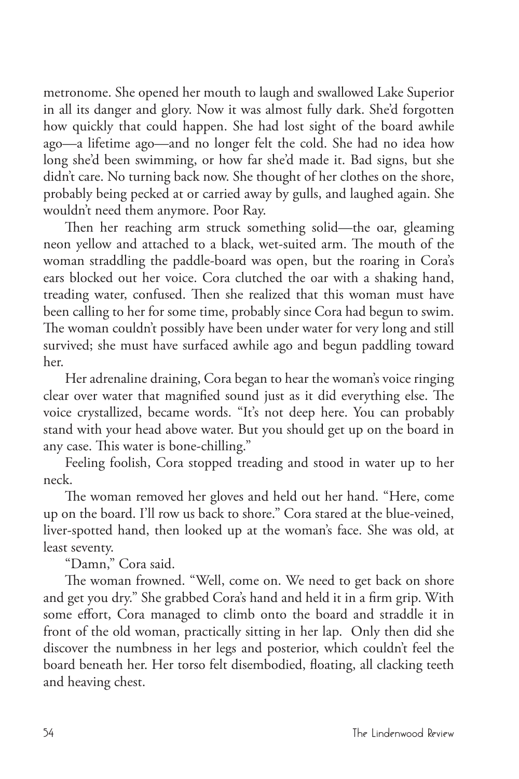metronome. She opened her mouth to laugh and swallowed Lake Superior in all its danger and glory. Now it was almost fully dark. She'd forgotten how quickly that could happen. She had lost sight of the board awhile ago—a lifetime ago—and no longer felt the cold. She had no idea how long she'd been swimming, or how far she'd made it. Bad signs, but she didn't care. No turning back now. She thought of her clothes on the shore, probably being pecked at or carried away by gulls, and laughed again. She wouldn't need them anymore. Poor Ray.

Then her reaching arm struck something solid—the oar, gleaming neon yellow and attached to a black, wet-suited arm. The mouth of the woman straddling the paddle-board was open, but the roaring in Cora's ears blocked out her voice. Cora clutched the oar with a shaking hand, treading water, confused. Then she realized that this woman must have been calling to her for some time, probably since Cora had begun to swim. The woman couldn't possibly have been under water for very long and still survived; she must have surfaced awhile ago and begun paddling toward her.

Her adrenaline draining, Cora began to hear the woman's voice ringing clear over water that magnified sound just as it did everything else. The voice crystallized, became words. "It's not deep here. You can probably stand with your head above water. But you should get up on the board in any case. This water is bone-chilling."

Feeling foolish, Cora stopped treading and stood in water up to her neck.

The woman removed her gloves and held out her hand. "Here, come up on the board. I'll row us back to shore." Cora stared at the blue-veined, liver-spotted hand, then looked up at the woman's face. She was old, at least seventy.

"Damn," Cora said.

The woman frowned. "Well, come on. We need to get back on shore and get you dry." She grabbed Cora's hand and held it in a firm grip. With some effort, Cora managed to climb onto the board and straddle it in front of the old woman, practically sitting in her lap. Only then did she discover the numbness in her legs and posterior, which couldn't feel the board beneath her. Her torso felt disembodied, floating, all clacking teeth and heaving chest.